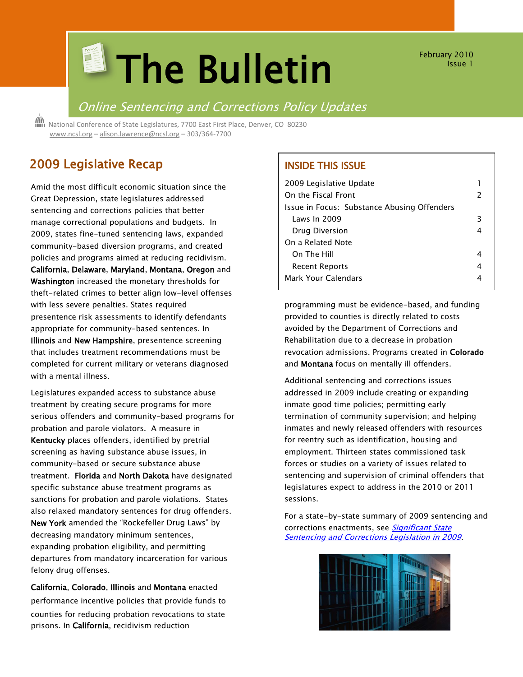# **El The Bulletin**

February 2010 Issue 1

## Online Sentencing and Corrections Policy Updates

 National Conference of State Legislatures, 7700 East First Place, Denver, CO 80230 [www.ncsl.org](http://www.ncsl.org/) – [alison.lawrence@ncsl.org](mailto:Alison.lawrence@ncsl.org) – 303/364-7700

## 2009 Legislative Recap

Amid the most difficult economic situation since the Great Depression, state legislatures addressed sentencing and corrections policies that better manage correctional populations and budgets. In 2009, states fine-tuned sentencing laws, expanded community-based diversion programs, and created policies and programs aimed at reducing recidivism. California, Delaware, Maryland, Montana, Oregon and Washington increased the monetary thresholds for theft-related crimes to better align low-level offenses with less severe penalties. States required presentence risk assessments to identify defendants appropriate for community-based sentences. In Illinois and New Hampshire, presentence screening that includes treatment recommendations must be completed for current military or veterans diagnosed with a mental illness.

Legislatures expanded access to substance abuse treatment by creating secure programs for more serious offenders and community-based programs for probation and parole violators. A measure in Kentucky places offenders, identified by pretrial screening as having substance abuse issues, in community-based or secure substance abuse treatment. Florida and North Dakota have designated specific substance abuse treatment programs as sanctions for probation and parole violations. States also relaxed mandatory sentences for drug offenders. New York amended the "Rockefeller Drug Laws" by decreasing mandatory minimum sentences, expanding probation eligibility, and permitting departures from mandatory incarceration for various felony drug offenses.

California, Colorado, Illinois and Montana enacted performance incentive policies that provide funds to counties for reducing probation revocations to state prisons. In California, recidivism reduction

#### INSIDE THIS ISSUE

| 2009 Legislative Update                     |                          |
|---------------------------------------------|--------------------------|
| On the Fiscal Front                         | $\overline{\phantom{a}}$ |
| Issue in Focus: Substance Abusing Offenders |                          |
| Laws In 2009                                | 3                        |
| Drug Diversion                              |                          |
| On a Related Note                           |                          |
| On The Hill                                 |                          |
| <b>Recent Reports</b>                       | 4                        |
| Mark Your Calendars                         |                          |

programming must be evidence-based, and funding provided to counties is directly related to costs avoided by the Department of Corrections and Rehabilitation due to a decrease in probation revocation admissions. Programs created in Colorado and Montana focus on mentally ill offenders.

Additional sentencing and corrections issues addressed in 2009 include creating or expanding inmate good time policies; permitting early termination of community supervision; and helping inmates and newly released offenders with resources for reentry such as identification, housing and employment. Thirteen states commissioned task forces or studies on a variety of issues related to sentencing and supervision of criminal offenders that legislatures expect to address in the 2010 or 2011 sessions.

For a state-by-state summary of 2009 sentencing and corrections enactments, see Significant State [Sentencing and Corrections Legislation in 2009.](http://www.ncsl.org/?TabId=19122)

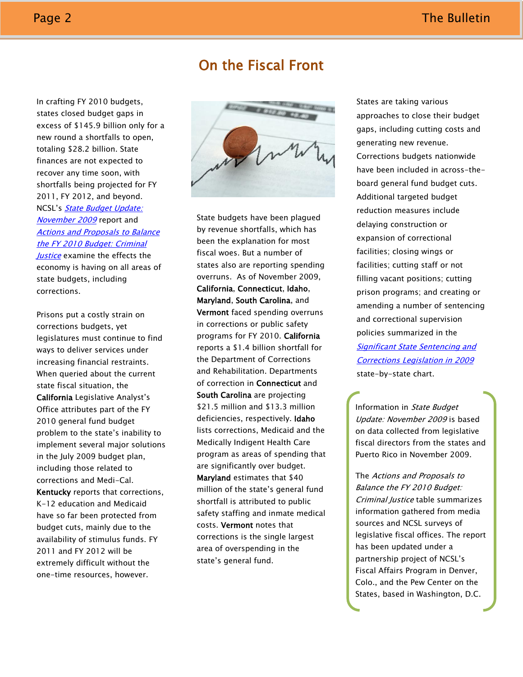## On the Fiscal Front

In crafting FY 2010 budgets, states closed budget gaps in excess of \$145.9 billion only for a new round a shortfalls to open, totaling \$28.2 billion. State finances are not expected to recover any time soon, with shortfalls being projected for FY 2011, FY 2012, and beyond. NCSL's State Budget Update: [November 2009](http://www.ncsl.org/?tabid=19251) report and [Actions and Proposals to Balance](http://www.ncsl.org/?tabid=17240)  [the FY 2010 Budget: Criminal](http://www.ncsl.org/?tabid=17240)  [Justice](http://www.ncsl.org/?tabid=17240) examine the effects the

economy is having on all areas of state budgets, including corrections.

Prisons put a costly strain on corrections budgets, yet legislatures must continue to find ways to deliver services under increasing financial restraints. When queried about the current state fiscal situation, the California Legislative Analyst's Office attributes part of the FY 2010 general fund budget problem to the state's inability to implement several major solutions in the July 2009 budget plan, including those related to corrections and Medi-Cal. Kentucky reports that corrections, K-12 education and Medicaid have so far been protected from budget cuts, mainly due to the availability of stimulus funds. FY 2011 and FY 2012 will be extremely difficult without the one-time resources, however.



State budgets have been plagued by revenue shortfalls, which has been the explanation for most fiscal woes. But a number of states also are reporting spending overruns. As of November 2009, California, Connecticut, Idaho, Maryland, South Carolina, and Vermont faced spending overruns in corrections or public safety programs for FY 2010. California reports a \$1.4 billion shortfall for the Department of Corrections and Rehabilitation. Departments of correction in Connecticut and South Carolina are projecting \$21.5 million and \$13.3 million deficiencies, respectively. Idaho lists corrections, Medicaid and the Medically Indigent Health Care program as areas of spending that are significantly over budget. Maryland estimates that \$40 million of the state's general fund shortfall is attributed to public safety staffing and inmate medical costs. Vermont notes that corrections is the single largest area of overspending in the state's general fund.

States are taking various approaches to close their budget gaps, including cutting costs and generating new revenue. Corrections budgets nationwide have been included in across-theboard general fund budget cuts. Additional targeted budget reduction measures include delaying construction or expansion of correctional facilities; closing wings or facilities; cutting staff or not filling vacant positions; cutting prison programs; and creating or amending a number of sentencing and correctional supervision policies summarized in the [Significant State Sentencing and](http://www.ncsl.org/?TabId=19122)  [Corrections Legislation in 2009](http://www.ncsl.org/?TabId=19122) state-by-state chart.

Information in State Budget Update: November 2009 is based on data collected from legislative fiscal directors from the states and Puerto Rico in November 2009.

The Actions and Proposals to Balance the FY 2010 Budget: Criminal Justice table summarizes information gathered from media sources and NCSL surveys of legislative fiscal offices. The report has been updated under a partnership project of NCSL's Fiscal Affairs Program in Denver, Colo., and the Pew Center on the States, based in Washington, D.C.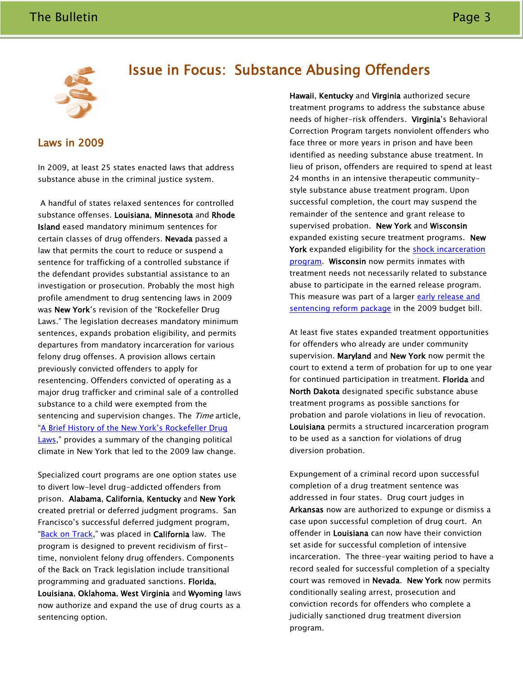

# Issue in Focus: Substance Abusing Offenders

#### Laws in 2009

In 2009, at least 25 states enacted laws that address substance abuse in the criminal justice system.

A handful of states relaxed sentences for controlled substance offenses. Louisiana, Minnesota and Rhode Island eased mandatory minimum sentences for certain classes of drug offenders. Nevada passed a law that permits the court to reduce or suspend a sentence for trafficking of a controlled substance if the defendant provides substantial assistance to an investigation or prosecution. Probably the most high profile amendment to drug sentencing laws in 2009 was New York's revision of the "Rockefeller Drug Laws." The legislation decreases mandatory minimum sentences, expands probation eligibility, and permits departures from mandatory incarceration for various felony drug offenses. A provision allows certain previously convicted offenders to apply for resentencing. Offenders convicted of operating as a major drug trafficker and criminal sale of a controlled substance to a child were exempted from the sentencing and supervision changes. The Time article, ["A Brief History of the New York's Rockefeller Drug](http://www.time.com/time/nation/article/0,8599,1888864-2,00.html)  [Laws,](http://www.time.com/time/nation/article/0,8599,1888864-2,00.html)" provides a summary of the changing political climate in New York that led to the 2009 law change.

Specialized court programs are one option states use to divert low-level drug-addicted offenders from prison. Alabama, California, Kentucky and New York created pretrial or deferred judgment programs. San Francisco's successful deferred judgment program, "[Back on Track,](http://www.sfdistrictattorney.org/page.asp?id=49)" was placed in California law. The program is designed to prevent recidivism of firsttime, nonviolent felony drug offenders. Components of the Back on Track legislation include transitional programming and graduated sanctions. Florida, Louisiana, Oklahoma, West Virginia and Wyoming laws now authorize and expand the use of drug courts as a sentencing option.

Hawaii, Kentucky and Virginia authorized secure treatment programs to address the substance abuse needs of higher-risk offenders. Virginia's Behavioral Correction Program targets nonviolent offenders who face three or more years in prison and have been identified as needing substance abuse treatment. In lieu of prison, offenders are required to spend at least 24 months in an intensive therapeutic communitystyle substance abuse treatment program. Upon successful completion, the court may suspend the remainder of the sentence and grant release to supervised probation. New York and Wisconsin expanded existing secure treatment programs. New York expanded eligibility for the shock incarceration [program.](http://www.docs.state.ny.us/NewsRoom/external_news/2009-08-24_DOCS_Expands_Shock.pdf) Wisconsin now permits inmates with treatment needs not necessarily related to substance abuse to participate in the earned release program. This measure was part of a larger early release and [sentencing reform package](http://www.legis.state.wi.us/lrb/pubs/budbriefs/09bb1.pdf) in the 2009 budget bill.

At least five states expanded treatment opportunities for offenders who already are under community supervision. Maryland and New York now permit the court to extend a term of probation for up to one year for continued participation in treatment. Florida and North Dakota designated specific substance abuse treatment programs as possible sanctions for probation and parole violations in lieu of revocation. Louisiana permits a structured incarceration program to be used as a sanction for violations of drug diversion probation.

Expungement of a criminal record upon successful completion of a drug treatment sentence was addressed in four states. Drug court judges in Arkansas now are authorized to expunge or dismiss a case upon successful completion of drug court. An offender in Louisiana can now have their conviction set aside for successful completion of intensive incarceration. The three-year waiting period to have a record sealed for successful completion of a specialty court was removed in Nevada. New York now permits conditionally sealing arrest, prosecution and conviction records for offenders who complete a judicially sanctioned drug treatment diversion program.